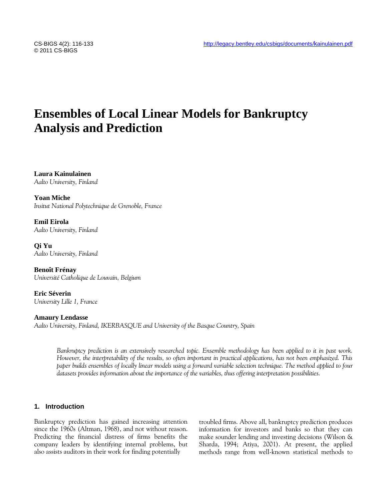© 2011 CS-BIGS

# **Ensembles of Local Linear Models for Bankruptcy Analysis and Prediction**

**Laura Kainulainen** *Aalto University, Finland*

**Yoan Miche** *Insitut National Polytechnique de Grenoble, France*

**Emil Eirola** *Aalto University, Finland*

**Qi Yu** *Aalto University, Finland*

**Benoît Frénay** *Université Catholique de Louvain, Belgium*

**Eric Séverin** *University Lille 1, France*

**Amaury Lendasse** *Aalto University, Finland, IKERBASQUE and University of the Basque Country, Spain*

> *Bankruptcy prediction is an extensively researched topic. Ensemble methodology has been applied to it in past work. However, the interpretability of the results, so often important in practical applications, has not been emphasized. This paper builds ensembles of locally linear models using a forward variable selection technique. The method applied to four datasets provides information about the importance of the variables, thus offering interpretation possibilities.*

# **1. Introduction**

Bankruptcy prediction has gained increasing attention since the 1960s (Altman, 1968), and not without reason. Predicting the financial distress of firms benefits the company leaders by identifying internal problems, but also assists auditors in their work for finding potentially

troubled firms. Above all, bankruptcy prediction produces information for investors and banks so that they can make sounder lending and investing decisions (Wilson & Sharda, 1994; Atiya, 2001). At present, the applied methods range from well-known statistical methods to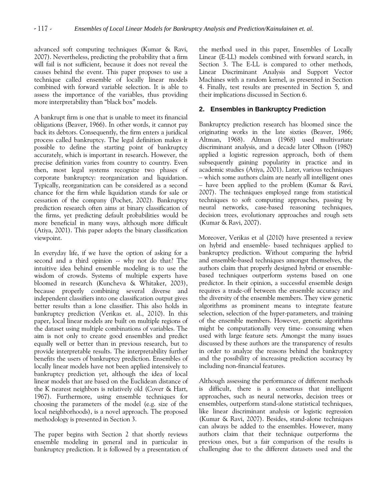advanced soft computing techniques (Kumar & Ravi, 2007). Nevertheless, predicting the probability that a firm will fail is not sufficient, because it does not reveal the causes behind the event. This paper proposes to use a technique called ensemble of locally linear models combined with forward variable selection. It is able to assess the importance of the variables, thus providing more interpretability than "black box" models.

A bankrupt firm is one that is unable to meet its financial obligations (Beaver, 1966). In other words, it cannot pay back its debtors. Consequently, the firm enters a juridical process called bankruptcy. The legal definition makes it possible to define the starting point of bankruptcy accurately, which is important in research. However, the precise definition varies from country to country. Even then, most legal systems recognize two phases of corporate bankruptcy: reorganization and liquidation. Typically, reorganization can be considered as a second chance for the firm while liquidation stands for sale or cessation of the company (Pochet, 2002). Bankruptcy prediction research often aims at binary classification of the firms, yet predicting default probabilities would be more beneficial in many ways, although more difficult (Atiya, 2001). This paper adopts the binary classification viewpoint.

In everyday life, if we have the option of asking for a second and a third opinion  $\sim$  why not do that? The intuitive idea behind ensemble modeling is to use the wisdom of crowds. Systems of multiple experts have bloomed in research (Kuncheva & Whitaker, 2003), because properly combining several diverse and independent classifiers into one classification output gives better results than a lone classifier. This also holds in bankruptcy prediction (Verikas et. al., 2010). In this paper, local linear models are built on multiple regions of the dataset using multiple combinations of variables. The aim is not only to create good ensembles and predict equally well or better than in previous research, but to provide interpretable results. The interpretability further benefits the users of bankruptcy prediction. Ensembles of locally linear models have not been applied intensively to bankruptcy prediction yet, although the idea of local linear models that are based on the Euclidean distance of the K nearest neighbors is relatively old (Cover & Hart, 1967). Furthermore, using ensemble techniques for choosing the parameters of the model (e.g. size of the local neighborhoods), is a novel approach. The proposed methodology is presented in Section 3.

The paper begins with Section 2 that shortly reviews ensemble modeling in general and in particular in bankruptcy prediction. It is followed by a presentation of the method used in this paper, Ensembles of Locally Linear (E-LL) models combined with forward search, in Section 3. The E-LL is compared to other methods, Linear Discriminant Analysis and Support Vector Machines with a random kernel, as presented in Section 4. Finally, test results are presented in Section 5, and their implications discussed in Section 6.

# **2. Ensembles in Bankruptcy Prediction**

Bankruptcy prediction research has bloomed since the originating works in the late sixties (Beaver, 1966; Altman, 1968). Altman (1968) used multivariate discriminant analysis, and a decade later Olhson (1980) applied a logistic regression approach, both of them subsequently gaining popularity in practice and in academic studies (Atiya, 2001). Later, various techniques – which some authors claim are nearly all intelligent ones – have been applied to the problem (Kumar & Ravi, 2007). The techniques employed range from statistical techniques to soft computing approaches, passing by neural networks, case-based reasoning techniques, decision trees, evolutionary approaches and rough sets (Kumar & Ravi, 2007).

Moreover, Verikas et al (2010) have presented a review on hybrid and ensemble- based techniques applied to bankruptcy prediction. Without comparing the hybrid and ensemble-based techniques amongst themselves, the authors claim that properly designed hybrid or ensemblebased techniques outperform systems based on one predictor. In their opinion, a successful ensemble design requires a trade-off between the ensemble accuracy and the diversity of the ensemble members. They view genetic algorithms as prominent means to integrate feature selection, selection of the hyper-parameters, and training of the ensemble members. However, genetic algorithms might be computationally very time- consuming when used with large feature sets. Amongst the many issues discussed by these authors are the transparency of results in order to analyze the reasons behind the bankruptcy and the possibility of increasing prediction accuracy by including non-financial features.

Although assessing the performance of different methods is difficult, there is a consensus that intelligent approaches, such as neural networks, decision trees or ensembles, outperform stand-alone statistical techniques, like linear discriminant analysis or logistic regression (Kumar & Ravi, 2007). Besides, stand-alone techniques can always be added to the ensembles. However, many authors claim that their technique outperforms the previous ones, but a fair comparison of the results is challenging due to the different datasets used and the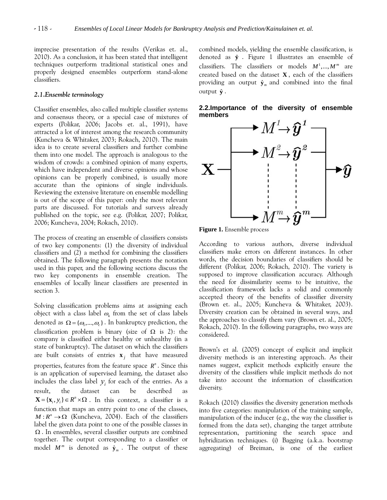imprecise presentation of the results (Verikas et. al., 2010). As a conclusion, it has been stated that intelligent techniques outperform traditional statistical ones and properly designed ensembles outperform stand-alone classifiers.

#### *2.1.Ensemble terminology*

Classifier ensembles, also called multiple classifier systems and consensus theory, or a special case of mixtures of experts (Polikar, 2006; Jacobs et. al., 1991), have attracted a lot of interest among the research community (Kuncheva & Whitaker, 2003; Rokach, 2010). The main idea is to create several classifiers and further combine them into one model. The approach is analogous to the wisdom of crowds: a combined opinion of many experts, which have independent and diverse opinions and whose opinions can be properly combined, is usually more accurate than the opinions of single individuals. Reviewing the extensive literature on ensemble modelling is out of the scope of this paper: only the most relevant parts are discussed. For tutorials and surveys already published on the topic, see e.g. (Polikar, 2007; Polikar, 2006; Kuncheva, 2004; Rokach, 2010).

The process of creating an ensemble of classifiers consists of two key components: (1) the diversity of individual classifiers and (2) a method for combining the classifiers obtained. The following paragraph presents the notation used in this paper, and the following sections discuss the two key components in ensemble creation. The ensembles of locally linear classifiers are presented in section 3.

Solving classification problems aims at assigning each object with a class label  $\omega_{\scriptscriptstyle{k}}$  from the set of class labels denoted as  $\Omega = \{\omega_1, ..., \omega_c\}$ . In bankruptcy prediction, the classification problem is binary (size of  $\Omega$  is 2): the company is classified either healthy or unhealthy (in a state of bankruptcy). The dataset on which the classifiers are built consists of entries  $\mathbf{x}_j$  that have measured properties, features from the feature space  $R<sup>n</sup>$ . Since this is an application of supervised learning, the dataset also includes the class label  $y_i$  for each of the entries. As a result, the dataset can be described as  ${\bf X} = {\bf x}_i, y_i$   $\in R^n \times \Omega$ . In this context, a classifier is a function that maps an entry point to one of the classes,  $M: R<sup>n</sup> \to \Omega$  (Kuncheva, 2004). Each of the classifiers label the given data point to one of the possible classes in  $\Omega$ . In ensembles, several classifier outputs are combined together. The output corresponding to a classifier or model  $M^m$  is denoted as  $\hat{\mathbf{y}}_m$ . The output of these combined models, yielding the ensemble classification, is denoted as **y** ˆ . Figure 1 illustrates an ensemble of classifiers. The classifiers or models  $M^1, ..., M^m$  are created based on the dataset **X** , each of the classifiers providing an output  $\hat{\mathbf{y}}_m$  and combined into the final output **y** ˆ .

**2.2.Importance of the diversity of ensemble members**



**Figure 1.** Ensemble process

According to various authors, diverse individual classifiers make errors on different instances. In other words, the decision boundaries of classifiers should be different (Polikar, 2006; Rokach, 2010). The variety is supposed to improve classification accuracy. Although the need for dissimilarity seems to be intuitive, the classification framework lacks a solid and commonly accepted theory of the benefits of classifier diversity (Brown et. al., 2005; Kuncheva & Whitaker, 2003). Diversity creation can be obtained in several ways, and the approaches to classify them vary (Brown et. al., 2005; Rokach, 2010). In the following paragraphs, two ways are considered.

Brown's et al. (2005) concept of explicit and implicit diversity methods is an interesting approach. As their names suggest, explicit methods explicitly ensure the diversity of the classifiers while implicit methods do not take into account the information of classification diversity.

Rokach (2010) classifies the diversity generation methods into five categories: manipulation of the training sample, manipulation of the inducer (e.g., the way the classifier is formed from the data set), changing the target attribute representation, partitioning the search space and hybridization techniques. (i) Bagging (a.k.a. bootstrap aggregating) of Breiman, is one of the earliest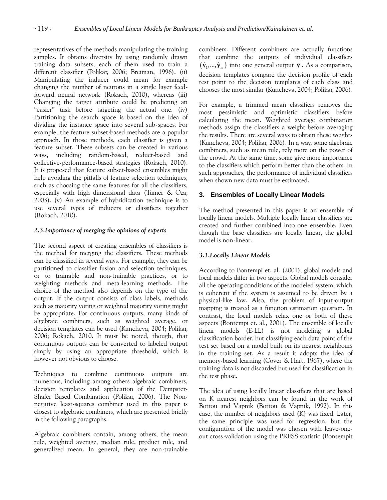representatives of the methods manipulating the training samples. It obtains diversity by using randomly drawn training data subsets, each of them used to train a different classifier (Polikar, 2006; Breiman, 1996). (ii) Manipulating the inducer could mean for example changing the number of neurons in a single layer feedforward neural network (Rokach, 2010), whereas (iii) Changing the target attribute could be predicting an "easier" task before targeting the actual one. (iv) Partitioning the search space is based on the idea of dividing the instance space into several sub-spaces. For example, the feature subset-based methods are a popular approach. In those methods, each classifier is given a feature subset. These subsets can be created in various ways, including random-based, reduct-based and collective-performance-based strategies (Rokach, 2010). It is proposed that feature subset-based ensembles might help avoiding the pitfalls of feature selection techniques, such as choosing the same features for all the classifiers, especially with high dimensional data (Tumer  $\&$  Oza, 2003). (v) An example of hybridization technique is to use several types of inducers or classifiers together (Rokach, 2010).

## *2.3.Importance of merging the opinions of experts*

The second aspect of creating ensembles of classifiers is the method for merging the classifiers. These methods can be classified in several ways. For example, they can be partitioned to classifier fusion and selection techniques, or to trainable and non-trainable practices, or to weighting methods and meta-learning methods. The choice of the method also depends on the type of the output. If the output consists of class labels, methods such as majority voting or weighted majority voting might be appropriate. For continuous outputs, many kinds of algebraic combiners, such as weighted average, or decision templates can be used (Kuncheva, 2004; Polikar, 2006; Rokach, 2010. It must be noted, though, that continuous outputs can be converted to labeled output simply by using an appropriate threshold, which is however not obvious to choose.

Techniques to combine continuous outputs are numerous, including among others algebraic combiners, decision templates and application of the Dempster-Shafer Based Combination (Polikar, 2006). The Nonnegative least-squares combiner used in this paper is closest to algebraic combiners, which are presented briefly in the following paragraphs.

Algebraic combiners contain, among others, the mean rule, weighted average, median rule, product rule, and generalized mean. In general, they are non-trainable combiners. Different combiners are actually functions that combine the outputs of individual classifiers  $(\hat{\mathbf{y}}_1,...,\hat{\mathbf{y}}_m)$  into one general output  $\hat{\mathbf{y}}$ . As a comparison, decision templates compare the decision profile of each test point to the decision templates of each class and chooses the most similar (Kuncheva, 2004; Polikar, 2006).

For example, a trimmed mean classifiers removes the most pessimistic and optimistic classifiers before calculating the mean. Weighted average combination methods assign the classifiers a weight before averaging the results. There are several ways to obtain these weights (Kuncheva, 2004; Polikar, 2006). In a way, some algebraic combiners, such as mean rule, rely more on the power of the crowd. At the same time, some give more importance to the classifiers which perform better than the others. In such approaches, the performance of individual classifiers when shown new data must be estimated.

## **3. Ensembles of Locally Linear Models**

The method presented in this paper is an ensemble of locally linear models. Multiple locally linear classifiers are created and further combined into one ensemble. Even though the base classifiers are locally linear, the global model is non-linear.

# *3.1.Locally Linear Models*

According to Bontempi et. al. (2001), global models and local models differ in two aspects. Global models consider all the operating conditions of the modeled system, which is coherent if the system is assumed to be driven by a physical-like law. Also, the problem of input-output mapping is treated as a function estimation question. In contrast, the local models relax one or both of these aspects (Bontempi et. al., 2001). The ensemble of locally linear models (E-LL) is not modeling a global classification border, but classifying each data point of the test set based on a model built on its nearest neighbours in the training set. As a result it adopts the idea of memory-based learning (Cover & Hart, 1967), where the training data is not discarded but used for classification in the test phase.

The idea of using locally linear classifiers that are based on K nearest neighbors can be found in the work of Bottou and Vapnik (Bottou & Vapnik, 1992). In this case, the number of neighbors used (K) was fixed. Later, the same principle was used for regression, but the configuration of the model was chosen with leave-oneout cross-validation using the PRESS statistic (Bontempit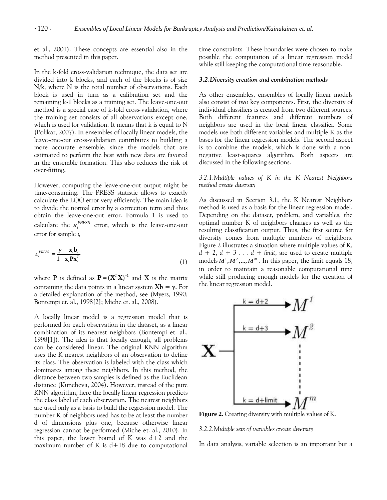et al., 2001). These concepts are essential also in the method presented in this paper.

In the k-fold cross-validation technique, the data set are divided into k blocks, and each of the blocks is of size N/k, where N is the total number of observations. Each block is used in turn as a calibration set and the remaining k-1 blocks as a training set. The leave-one-out method is a special case of k-fold cross-validation, where the training set consists of all observations except one, which is used for validation. It means that k is equal to N (Polikar, 2007). In ensembles of locally linear models, the leave-one-out cross-validation contributes to building a more accurate ensemble, since the models that are estimated to perform the best with new data are favored in the ensemble formation. This also reduces the risk of over-fitting.

However, computing the leave-one-out output might be time-consuming. The PRESS statistic allows to exactly calculate the LOO error very efficiently. The main idea is to divide the normal error by a correction term and thus obtain the leave-one-out error. Formula 1 is used to calculate the  $\varepsilon_i^{PRESS}$  error, which is the leave-one-out error for sample *i,*

$$
\varepsilon_i^{PRESS} = \frac{y_i - \mathbf{x}_i \mathbf{b}_i}{1 - \mathbf{x}_i \mathbf{P} \mathbf{x}_i^T}
$$
(1)

where **P** is defined as  $P = (X^T X)^{-1}$  and X is the matrix containing the data points in a linear system  $Xb = y$ . For a detailed explanation of the method, see (Myers, 1990; Bontempi et. al., 1998[2]; Miche et. al., 2008).

A locally linear model is a regression model that is performed for each observation in the dataset, as a linear combination of its nearest neighbors (Bontempi et. al., 1998[1]). The idea is that locally enough, all problems can be considered linear. The original KNN algorithm uses the K nearest neighbors of an observation to define its class. The observation is labeled with the class which dominates among these neighbors. In this method, the distance between two samples is defined as the Euclidean distance (Kuncheva, 2004). However, instead of the pure KNN algorithm, here the locally linear regression predicts the class label of each observation. The nearest neighbors are used only as a basis to build the regression model. The number K of neighbors used has to be at least the number d of dimensions plus one, because otherwise linear regression cannot be performed (Miche et. al., 2010). In this paper, the lower bound of K was  $d+2$  and the maximum number of K is  $d+18$  due to computational time constraints. These boundaries were chosen to make possible the computation of a linear regression model while still keeping the computational time reasonable.

#### *3.2.Diversity creation and combination methods*

As other ensembles, ensembles of locally linear models also consist of two key components. First, the diversity of individual classifiers is created from two different sources. Both different features and different numbers of neighbors are used in the local linear classifier. Some models use both different variables and multiple K as the bases for the linear regression models. The second aspect is to combine the models, which is done with a nonnegative least-squares algorithm. Both aspects are discussed in the following sections.

*3.2.1.Multiple values of K in the K Nearest Neighbors method create diversity*

As discussed in Section 3.1, the K Nearest Neighbors method is used as a basis for the linear regression model. Depending on the dataset, problem, and variables, the optimal number K of neighbors changes as well as the resulting classification output. Thus, the first source for diversity comes from multiple numbers of neighbors. Figure 2 illustrates a situation where multiple values of K,  $d + 2$ ,  $d + 3$ ...  $d + limit$ , are used to create multiple models  $M^1, M^2, ..., M^m$ . In this paper, the limit equals 18, in order to maintain a reasonable computational time while still producing enough models for the creation of the linear regression model.



**Figure 2.** Creating diversity with multiple values of K.

#### *3.2.2.Multiple sets of variables create diversity*

In data analysis, variable selection is an important but a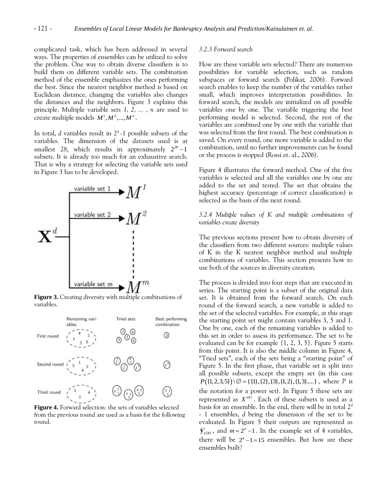complicated task, which has been addressed in several ways. The properties of ensembles can be utilized to solve the problem. One way to obtain diverse classifiers is to build them on different variable sets. The combination method of the ensemble emphasizes the ones performing the best. Since the nearest neighbor method is based on Euclidean distance, changing the variables also changes the distances and the neighbors. Figure 3 explains this principle. Multiple variable sets *1, 2, ... , n* are used to create multiple models  $M^1, M^2, ..., M^n$ .

In total, *d* variables result in 2*<sup>d</sup>* -1 possible subsets of the variables. The dimension of the datasets used is at smallest 28, which results in approximately  $2^{28} - 1$ subsets. It is already too much for an exhaustive search. That is why a strategy for selecting the variable sets used in Figure 3 has to be developed.



**Figure 3.** Creating diversity with multiple combinations of variables.



**Figure 4.** Forward selection: the sets of variables selected from the previous round are used as a basis for the following round.

## *3.2.3 Forward search*

How are these variable sets selected? There are numerous possibilities for variable selection, such as random subspaces or forward search (Polikar, 2006). Forward search enables to keep the number of the variables rather small, which improves interpretation possibilities. In forward search, the models are initialized on all possible variables one by one. The variable triggering the best performing model is selected. Second, the rest of the variables are combined one by one with the variable that was selected from the first round. The best combination is saved. On every round, one more variable is added to the combination, until no further improvements can be found or the process is stopped (Rossi et. al., 2006).

Figure 4 illustrates the forward method. One of the five variables is selected and all the variables one by one are added to the set and tested. The set that obtains the highest accuracy (percentage of correct classification) is selected as the basis of the next round.

## *3.2.4 Multiple values of K and multiple combinations of variables create diversity*

The previous sections present how to obtain diversity of the classifiers from two different sources: multiple values of K in the K nearest neighbor method and multiple combinations of variables. This section presents how to use both of the sources in diversity creation.

The process is divided into four steps that are executed in series. The starting point is a subset of the original data set. It is obtained from the forward search. On each round of the forward search, a new variable is added to the set of the selected variables. For example, at this stage the starting point set might contain variables 3, 5 and 1. One by one, each of the remaining variables is added to this set in order to assess its performance. The set to be evaluated can be for example  $\{1, 2, 3, 5\}$ . Figure 5 starts from this point. It is also the middle column in Figure 4, "Tried sets", each of the sets being a "starting point" of Figure 5. In the first phase, that variable set is split into all possible subsets, except the empty set (in this case all possible subsets, except the empty set (in this case  $P({1, 2, 3, 5}) \ \cup \ \varnothing = {\{1\},\{2\},\{3\},\{1,2\},\{1,3\},...\}$ , where *P* is the notation for a power set). In Figure 5 these sets are represented as  $X^{set}$ . Each of these subsets is used as a basis for an ensemble. In the end, there will be in total 2*<sup>d</sup>* - 1 ensembles, *d* being the dimension of the set to be evaluated. In Figure 5 their outputs are represented as  $\hat{\mathbf{y}}_{\text{LOO}}^i$ , and  $m = 2^d - 1$ . In the example set of 4 variables, there will be  $2^4 - 1 = 15$  ensembles. But how are these ensembles built?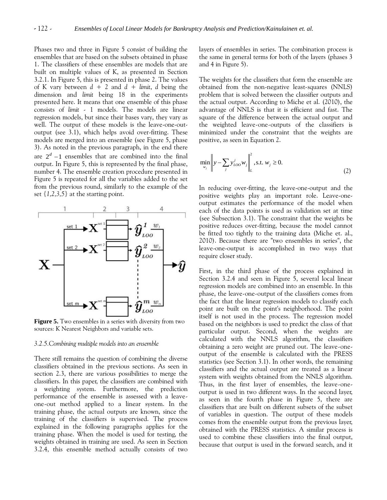Phases two and three in Figure 5 consist of building the ensembles that are based on the subsets obtained in phase 1. The classifiers of these ensembles are models that are built on multiple values of K, as presented in Section 3.2.1. In Figure 5, this is presented in phase 2. The values of K vary between  $d + 2$  and  $d +$  *limit*, *d* being the dimension and *limit* being 18 in the experiments presented here. It means that one ensemble of this phase consists of *limit* - 1 models. The models are linear regression models, but since their bases vary, they vary as well. The output of these models is the leave-one-outoutput (see 3.1), which helps avoid over-fitting. These models are merged into an ensemble (see Figure 5, phase 3). As noted in the previous paragraph, in the end there are  $2^d$  -1 ensembles that are combined into the final output. In Figure 5, this is represented by the final phase, number 4. The ensemble creation procedure presented in Figure 5 is repeated for all the variables added to the set from the previous round, similarly to the example of the set *{1,2,3,5}* at the starting point.



**Figure 5.** Two ensembles in a series with diversity from two sources: K Nearest Neighbors and variable sets.

#### *3.2.5.Combining multiple models into an ensemble*

There still remains the question of combining the diverse classifiers obtained in the previous sections. As seen in section 2.3, there are various possibilities to merge the classifiers. In this paper, the classifiers are combined with a weighting system. Furthermore, the prediction performance of the ensemble is assessed with a leaveone-out method applied to a linear system. In the training phase, the actual outputs are known, since the training of the classifiers is supervised. The process explained in the following paragraphs applies for the training phase. When the model is used for testing, the weights obtained in training are used. As seen in Section 3.2.4, this ensemble method actually consists of two layers of ensembles in series. The combination process is the same in general terms for both of the layers (phases 3 and 4 in Figure 5).

The weights for the classifiers that form the ensemble are obtained from the non-negative least-squares (NNLS) problem that is solved between the classifier outputs and the actual output. According to Miche et al. (2010), the advantage of NNLS is that it is efficient and fast. The square of the difference between the actual output and the weighted leave-one-outputs of the classifiers is minimized under the constraint that the weights are positive, as seen in Equation 2.

$$
\min_{w_j} \left\| y - \sum_j y_{LOO}^j w_j \right\|_L^2, \text{s.t. } w_j \ge 0.
$$
\n(2)

In reducing over-fitting, the leave-one-output and the positive weights play an important role. Leave-oneoutput estimates the performance of the model when each of the data points is used as validation set at time (see Subsection 3.1). The constraint that the weights be positive reduces over-fitting, because the model cannot be fitted too tightly to the training data (Miche et. al., 2010). Because there are "two ensembles in series", the leave-one-output is accomplished in two ways that require closer study.

First, in the third phase of the process explained in Section 3.2.4 and seen in Figure 5, several local linear regression models are combined into an ensemble. In this phase, the leave-one-output of the classifiers comes from the fact that the linear regression models to classify each point are built on the point's neighborhood. The point itself is not used in the process. The regression model based on the neighbors is used to predict the class of that particular output. Second, when the weights are calculated with the NNLS algorithm, the classifiers obtaining a zero weight are pruned out. The leave-oneoutput of the ensemble is calculated with the PRESS statistics (see Section 3.1). In other words, the remaining classifiers and the actual output are treated as a linear system with weights obtained from the NNLS algorithm. Thus, in the first layer of ensembles, the leave-oneoutput is used in two different ways. In the second layer, as seen in the fourth phase in Figure 5, there are classifiers that are built on different subsets of the subset of variables in question. The output of these models comes from the ensemble output from the previous layer, obtained with the PRESS statistics. A similar process is used to combine these classifiers into the final output, because that output is used in the forward search, and it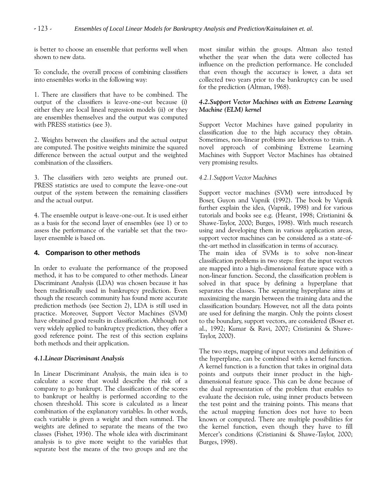is better to choose an ensemble that performs well when shown to new data.

To conclude, the overall process of combining classifiers into ensembles works in the following way:

1. There are classifiers that have to be combined. The output of the classifiers is leave-one-out because (i) either they are local lineal regression models (ii) or they are ensembles themselves and the output was computed with PRESS statistics (see 3).

2. Weights between the classifiers and the actual output are computed. The positive weights minimize the squared difference between the actual output and the weighted combination of the classifiers.

3. The classifiers with zero weights are pruned out. PRESS statistics are used to compute the leave-one-out output of the system between the remaining classifiers and the actual output.

4. The ensemble output is leave-one-out. It is used either as a basis for the second layer of ensembles (see 1) or to assess the performance of the variable set that the twolayer ensemble is based on.

## **4. Comparison to other methods**

In order to evaluate the performance of the proposed method, it has to be compared to other methods. Linear Discriminant Analysis (LDA) was chosen because it has been traditionally used in bankruptcy prediction. Even though the research community has found more accurate prediction methods (see Section 2), LDA is still used in practice. Moreover, Support Vector Machines (SVM) have obtained good results in classification. Although not very widely applied to bankruptcy prediction, they offer a good reference point. The rest of this section explains both methods and their application.

## *4.1.Linear Discriminant Analysis*

In Linear Discriminant Analysis, the main idea is to calculate a score that would describe the risk of a company to go bankrupt. The classification of the scores to bankrupt or healthy is performed according to the chosen threshold. This score is calculated as a linear combination of the explanatory variables. In other words, each variable is given a weight and then summed. The weights are defined to separate the means of the two classes (Fisher, 1936). The whole idea with discriminant analysis is to give more weight to the variables that separate best the means of the two groups and are the

most similar within the groups. Altman also tested whether the year when the data were collected has influence on the prediction performance. He concluded that even though the accuracy is lower, a data set collected two years prior to the bankruptcy can be used for the prediction (Altman, 1968).

## *4.2.Support Vector Machines with an Extreme Learning Machine (ELM) kernel*

Support Vector Machines have gained popularity in classification due to the high accuracy they obtain. Sometimes, non-linear problems are laborious to train. A novel approach of combining Extreme Learning Machines with Support Vector Machines has obtained very promising results.

## *4.2.1.Support Vector Machines*

Support vector machines (SVM) were introduced by Boser, Guyon and Vapnik (1992). The book by Vapnik further explain the idea, (Vapnik, 1998) and for various tutorials and books see e.g. (Hearst, 1998; Cristianini & Shawe-Taylor, 2000; Burges, 1998). With much research using and developing them in various application areas, support vector machines can be considered as a state-ofthe-art method in classification in terms of accuracy.

The main idea of SVMs is to solve non-linear classification problems in two steps: first the input vectors are mapped into a high-dimensional feature space with a non-linear function. Second, the classification problem is solved in that space by defining a hyperplane that separates the classes. The separating hyperplane aims at maximizing the margin between the training data and the classification boundary. However, not all the data points are used for defining the margin. Only the points closest to the boundary, support vectors, are considered (Boser et. al., 1992; Kumar & Ravi, 2007; Cristianini & Shawe-Taylor, 2000).

The two steps, mapping of input vectors and definition of the hyperplane, can be combined with a kernel function. A kernel function is a function that takes in original data points and outputs their inner product in the highdimensional feature space. This can be done because of the dual representation of the problem that enables to evaluate the decision rule, using inner products between the test point and the training points. This means that the actual mapping function does not have to been known or computed. There are multiple possibilities for the kernel function, even though they have to fill Mercer's conditions (Cristianini & Shawe-Taylor, 2000; Burges, 1998).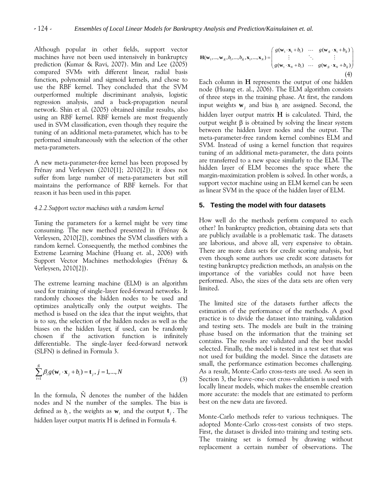Although popular in other fields, support vector machines have not been used intensively in bankruptcy prediction (Kumar & Ravi, 2007). Min and Lee (2005) compared SVMs with different linear, radial basis function, polynomial and sigmoid kernels, and chose to use the RBF kernel. They concluded that the SVM outperformed multiple discriminant analysis, logistic regression analysis, and a back-propagation neural network. Shin et al. (2005) obtained similar results, also using an RBF kernel. RBF kernels are most frequently used in SVM classification, even though they require the tuning of an additional meta-parameter, which has to be performed simultaneously with the selection of the other meta-parameters.

A new meta-parameter-free kernel has been proposed by Frénay and Verleysen (2010[1]; 2010[2]); it does not suffer from large number of meta-parameters but still maintains the performance of RBF kernels. For that reason it has been used in this paper.

#### *4.2.2.Support vector machines with a random kernel*

Tuning the parameters for a kernel might be very time consuming. The new method presented in (Frénay & Verleysen, 2010[2]), combines the SVM classifiers with a random kernel. Consequently, the method combines the Extreme Learning Machine (Huang et. al., 2006) with Support Vector Machines methodologies (Frénay & Verleysen, 2010[2]).

The extreme learning machine (ELM) is an algorithm used for training of single-layer feed-forward networks. It randomly chooses the hidden nodes to be used and optimizes analytically only the output weights. The method is based on the idea that the input weights, that is to say, the selection of the hidden nodes as well as the biases on the hidden layer, if used, can be randomly chosen if the activation function is infinitely differentiable. The single-layer feed-forward network (SLFN) is defined in Formula 3.

$$
\sum_{i=1}^{\tilde{N}} \beta_i g(\mathbf{w}_i \cdot \mathbf{x}_j + b_i) = \mathbf{t}_j, j = 1, ..., N
$$
\n(3)

In the formula,  $\tilde{N}$  denotes the number of the hidden nodes and N the number of the samples. The bias is defined as  $b_i$ , the weights as  $\mathbf{w}_i$  and the output  $\mathbf{t}_j$ . The hidden layer output matrix H is defined in Formula 4.

$$
\mathbf{H}(\mathbf{w}_1,...,\mathbf{w}_N,b_1,...,b_N,\mathbf{x}_1,...,\mathbf{x}_N) = \begin{pmatrix} g(\mathbf{w}_1 \cdot \mathbf{x}_1 + b_1) & \cdots & g(\mathbf{w}_N \cdot \mathbf{x}_1 + b_N) \\ \vdots & \ddots & \vdots \\ g(\mathbf{w}_1 \cdot \mathbf{x}_N + b_1) & \cdots & g(\mathbf{w}_N \cdot \mathbf{x}_N + b_N) \end{pmatrix}
$$
  
(4)

Each column in **H** represents the output of one hidden node (Huang et. al., 2006). The ELM algorithm consists of three steps in the training phase. At first, the random input weights  $\mathbf{w}_j$  and bias  $b_i$  are assigned. Second, the hidden layer output matrix **H** is calculated. Third, the output weight  $\beta$  is obtained by solving the linear system between the hidden layer nodes and the output. The meta-parameter-free random kernel combines ELM and SVM. Instead of using a kernel function that requires tuning of an additional meta-parameter, the data points are transferred to a new space similarly to the ELM. The hidden layer of ELM becomes the space where the margin-maximization problem is solved. In other words, a support vector machine using an ELM kernel can be seen as linear SVM in the space of the hidden layer of ELM.

#### **5. Testing the model with four datasets**

How well do the methods perform compared to each other? In bankruptcy prediction, obtaining data sets that are publicly available is a problematic task. The datasets are laborious, and above all, very expensive to obtain. There are more data sets for credit scoring analysis, but even though some authors use credit score datasets for testing bankruptcy prediction methods, an analysis on the importance of the variables could not have been performed. Also, the sizes of the data sets are often very limited.

The limited size of the datasets further affects the estimation of the performance of the methods. A good practice is to divide the dataset into training, validation and testing sets. The models are built in the training phase based on the information that the training set contains. The results are validated and the best model selected. Finally, the model is tested in a test set that was not used for building the model. Since the datasets are small, the performance estimation becomes challenging. As a result, Monte-Carlo cross-tests are used. As seen in Section 3, the leave-one-out cross-validation is used with locally linear models, which makes the ensemble creation more accurate: the models that are estimated to perform best on the new data are favored.

Monte-Carlo methods refer to various techniques. The adopted Monte-Carlo cross-test consists of two steps. First, the dataset is divided into training and testing sets. The training set is formed by drawing without replacement a certain number of observations. The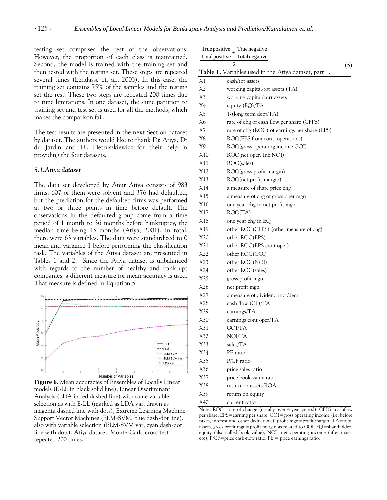testing set comprises the rest of the observations. However, the proportion of each class is maintained. Second, the model is trained with the training set and then tested with the testing set. These steps are repeated several times (Lendasse et. al., 2003). In this case, the training set contains 75% of the samples and the testing set the rest. These two steps are repeated 200 times due to time limitations. In one dataset, the same partition to training set and test set is used for all the methods, which makes the comparison fair.

The test results are presented in the next Section dataset by dataset. The authors would like to thank Dr. Atiya, Dr du Jardin and Dr. Pietruszkiewicz for their help in providing the four datasets.

#### *5.1.Atiya dataset*

The data set developed by Amir Atiya consists of 983 firms; 607 of them were solvent and 376 had defaulted, but the prediction for the defaulted firms was performed at two or three points in time before default. The observations in the defaulted group come from a time period of 1 month to 36 months before bankruptcy, the median time being 13 months (Atiya, 2001). In total, there were 63 variables. The data were standardized to 0 mean and variance 1 before performing the classification task. The variables of the Atiya dataset are presented in Tables 1 and 2. Since the Atiya dataset is unbalanced with regards to the number of healthy and bankrupt companies, a different measure for mean accuracy is used. That measure is defined in Equation 5.



**Figure 6.** Mean accuracies of Ensembles of Locally Linear models (E-LL in black solid line), Linear Discriminant Analysis (LDA in red dashed line) with same variable selection as with E-LL (marked as LDA var, drawn as magenta dashed line with dots), Extreme Learning Machine Support Vector Machines (ELM-SVM, blue dash-dot line), also with variable selection (ELM-SVM var, cyan dash-dot line with dots). Atiya dataset, Monte-Carlo cross-test repeated 200 times.

| True positive<br>True negative<br>Total positive<br><b>Total</b> negative |                                                       |     |  |
|---------------------------------------------------------------------------|-------------------------------------------------------|-----|--|
|                                                                           | $\overline{c}$                                        |     |  |
|                                                                           | Table 1. Variables used in the Atiya dataset, part 1. | (5) |  |
| X1                                                                        | cash/tot assets                                       |     |  |
| X2                                                                        | working capital/tot assets (TA)                       |     |  |
| X3                                                                        | working capital/curr assets                           |     |  |
| X4                                                                        | equity (EQ)/TA                                        |     |  |
| X5                                                                        | $1-(\text{long term debt/TA})$                        |     |  |
| X6                                                                        | rate of chg of cash flow per share (CFPS)             |     |  |
| X7                                                                        | rate of chg (ROC) of earnings per share (EPS)         |     |  |
| X8                                                                        | ROC(EPS from cont. operations)                        |     |  |
| X9                                                                        | ROC(gross operating income GOI)                       |     |  |
| X10                                                                       | ROC(net oper. Inc NOI)                                |     |  |
| X11                                                                       | ROC(sales)                                            |     |  |
| X12                                                                       | ROC(gross profit margin)                              |     |  |
| X13                                                                       | ROC(net profit margin)                                |     |  |
| X14                                                                       | a measure of share price chg                          |     |  |
| X15                                                                       | a measure of chg of gross oper mgn                    |     |  |
| X16                                                                       | one year chg in net profit mgn                        |     |  |
| X17                                                                       | ROC(TA)                                               |     |  |
| X18                                                                       | one year chg in EQ                                    |     |  |
| X19                                                                       | other ROC(CFPS) (other measure of chg)                |     |  |
| X20                                                                       | other ROC(EPS)                                        |     |  |
| X21                                                                       | other ROC(EPS cont oper)                              |     |  |
| X22                                                                       | other ROC(GOI)                                        |     |  |
| X23                                                                       | other ROC(NOI)                                        |     |  |
| X24                                                                       | other ROC(sales)                                      |     |  |
| X25                                                                       | gross profit mgn                                      |     |  |
| X26                                                                       | net profit mgn                                        |     |  |
| X27                                                                       | a measure of dividend incr/decr                       |     |  |
| X28                                                                       | cash flow $(CF)/TA$                                   |     |  |
| X29                                                                       | earnings/TA                                           |     |  |
| X30                                                                       | earnings cont oper/TA                                 |     |  |
| X31                                                                       | GOI/TA                                                |     |  |
| X32                                                                       | NOI/TA                                                |     |  |
| X33                                                                       | sales/TA                                              |     |  |
| X34                                                                       | PE ratio                                              |     |  |
| X35                                                                       | P/CF ratio                                            |     |  |
| X36                                                                       | price sales ratio                                     |     |  |
| X37                                                                       | price book value ratio                                |     |  |
| X38                                                                       | return on assets ROA                                  |     |  |
| X39                                                                       | return on equity                                      |     |  |
| X40                                                                       | current ratio                                         |     |  |

Note: ROC=rate of change (usually over 4 year period), CFPS=cashflow per share, EPS=earning per share, GOI=gross operating income (i.e. before taxes, interest and other deductions), profit mgn=profit margin, TA=total assets, gross profit mgn=profit margin as related to GOI, EQ=shareholders equity (also called book value), NOI=net operating income (after taxes, etc), P/CF=price cash-flow ratio, PE = price earnings ratio.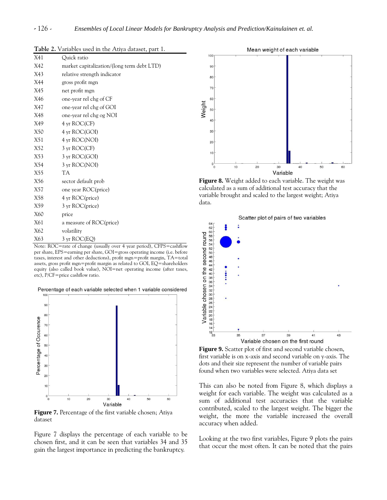| X41 | Quick ratio                                                      |
|-----|------------------------------------------------------------------|
| X42 | market capitalization/(long term debt LTD)                       |
| X43 | relative strength indicator                                      |
| X44 | gross profit mgn                                                 |
| X45 | net profit mgn                                                   |
| X46 | one-year rel chg of CF                                           |
| X47 | one-year rel chg of GOI                                          |
| X48 | one-year rel chg og NOI                                          |
| X49 | 4 yr ROC(CF)                                                     |
| X50 | 4 yr ROC(GOI)                                                    |
| X51 | 4 yr ROC(NOI)                                                    |
| X52 | $3 \text{ yr } \text{ROC}(\text{CF})$                            |
| X53 | 3 yr ROC(GOI)                                                    |
| X54 | 3 yr ROC(NOI)                                                    |
| X55 | TA                                                               |
| X56 | sector default prob                                              |
| X57 | one year ROC(price)                                              |
| X58 | 4 yr ROC(price)                                                  |
| X59 | 3 yr ROC(price)                                                  |
| X60 | price                                                            |
| X61 | a measure of ROC(price)                                          |
| X62 | volatility                                                       |
| X63 | $3 \text{ yr } \text{ROC}(EQ)$                                   |
|     | Note: $ROC = rate of change (usually over 4 year period) CEPS =$ |

**Table 2.** Variables used in the Atiya dataset, part 1.

rate of change (usually over 4 year period), CFPS=cashflow per share, EPS=earning per share, GOI=gross operating income (i.e. before taxes, interest and other deductions), profit mgn=profit margin, TA=total assets, gross profit mgn=profit margin as related to GOI, EQ=shareholders equity (also called book value), NOI=net operating income (after taxes, etc), P/CF=price cashflow ratio.

Percentage of each variable selected when 1 variable considered



**Figure 7.** Percentage of the first variable chosen; Atiya dataset

Figure 7 displays the percentage of each variable to be chosen first, and it can be seen that variables 34 and 35 gain the largest importance in predicting the bankruptcy.



**Figure 8.** Weight added to each variable. The weight was calculated as a sum of additional test accuracy that the variable brought and scaled to the largest weight; Atiya data.



**Figure 9.** Scatter plot of first and second variable chosen, first variable is on x-axis and second variable on y-axis. The dots and their size represent the number of variable pairs found when two variables were selected. Atiya data set

This can also be noted from Figure 8, which displays a weight for each variable. The weight was calculated as a sum of additional test accuracies that the variable contributed, scaled to the largest weight. The bigger the weight, the more the variable increased the overall accuracy when added.

Looking at the two first variables, Figure 9 plots the pairs that occur the most often. It can be noted that the pairs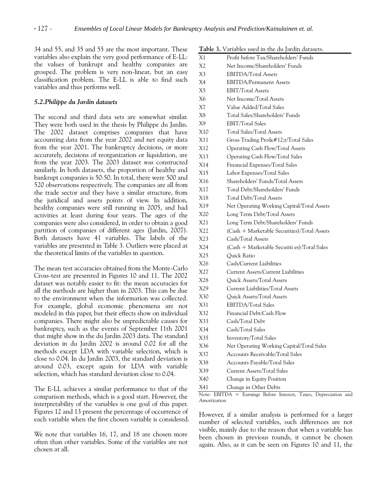34 and 55, and 35 and 55 are the most important. These variables also explain the very good performance of E-LL: the values of bankrupt and healthy companies are grouped. The problem is very non-linear, but an easy classification problem. The E-LL is able to find such variables and thus performs well.

#### *5.2.Philippe du Jardin datasets*

The second and third data sets are somewhat similar. They were both used in the thesis by Philippe du Jardin. The 2002 dataset comprises companies that have accounting data from the year 2002 and net equity data from the year 2001. The bankruptcy decisions, or more accurately, decisions of reorganization or liquidation, are from the year 2003. The 2003 dataset was constructed similarly. In both datasets, the proportion of healthy and bankrupt companies is 50:50. In total, there were 500 and 520 observations respectively. The companies are all from the trade sector and they have a similar structure, from the juridical and assets points of view. In addition, healthy companies were still running in 2005, and had activities at least during four years. The ages of the companies were also considered, in order to obtain a good partition of companies of different ages (Jardin, 2007). Both datasets have 41 variables. The labels of the variables are presented in Table 3. Outliers were placed at the theoretical limits of the variables in question.

The mean test accuracies obtained from the Monte-Carlo Cross-test are presented in Figures 10 and 11. The 2002 dataset was notably easier to fit: the mean accuracies for all the methods are higher than in 2003. This can be due to the environment when the information was collected. For example, global economic phenomena are not modeled in this paper, but their effects show on individual companies. There might also be unpredictable causes for bankruptcy, such as the events of September 11th 2001 that might show in the du Jardin 2003 data. The standard deviation in du Jardin 2002 is around 0.02 for all the methods except LDA with variable selection, which is close to 0.04. In du Jardin 2003, the standard deviation is around 0.03, except again for LDA with variable selection, which has standard deviation close to 0.04.

The E-LL achieves a similar performance to that of the comparison methods, which is a good start. However, the interpretability of the variables is one goal of this paper. Figures 12 and 13 present the percentage of occurrence of each variable when the first chosen variable is considered.

We note that variables 16, 17, and 18 are chosen more often than other variables. Some of the variables are not chosen at all.

|  | Table 3. Variables used in the du Jardin datasets. |  |  |  |  |
|--|----------------------------------------------------|--|--|--|--|
|--|----------------------------------------------------|--|--|--|--|

| X1  | Profit before Tax/Shareholders' Funds       |
|-----|---------------------------------------------|
| X2  | Net Income/Shareholders' Funds              |
| X3  | <b>EBITDA/Total Assets</b>                  |
| X4  | <b>EBITDA/Permanent Assets</b>              |
| X5  | <b>EBIT/Total Assets</b>                    |
| X6  | Net Income/Total Assets                     |
| X7  | Value Added/Total Sales                     |
| X8  | Total Sales/Shareholders' Funds             |
| X9  | EBIT/Total Sales                            |
| X10 | Total Sales/Total Assets                    |
| X11 | Gross Trading Prot/Total Sales             |
| X12 | Operating Cash Flow/Total Assets            |
| X13 | Operating Cash Flow/Total Sales             |
| X14 | Financial Expenses/Total Sales              |
| X15 | Labor Expenses/Total Sales                  |
| X16 | Shareholders' Funds/Total Assets            |
| X17 | Total Debt/Shareholders' Funds              |
| X18 | Total Debt/Total Assets                     |
| X19 | Net Operating Working Capital/Total Assets  |
| X20 | Long Term Debt/Total Assets                 |
| X21 | Long Term Debt/Shareholders' Funds          |
| X22 | (Cash + Marketable Securities)/Total Assets |
| X23 | Cash/Total Assets                           |
| X24 | (Cash + Marketable Securiti es)/Total Sales |
| X25 | Quick Ratio                                 |
| X26 | Cash/Current Liabilities                    |
| X27 | Current Assets/Current Liabilities          |
| X28 | Quick Assets/Total Assets                   |
| X29 | Current Liabilities/Total Assets            |
| X30 | Quick Assets/Total Assets                   |
| X31 | EBITDA/Total Sales                          |
| X32 | Financial Debt/Cash Flow                    |
| X33 | Cash/Total Debt                             |
| X34 | Cash/Total Sales                            |
| X35 | Inventory/Total Sales                       |
| X36 | Net Operating Working Capital/Total Sales   |
| X37 | Accounts Receivable/Total Sales             |
| X38 | Accounts Payable/Total Sales                |
| X39 | Current Assets/Total Sales                  |
| X40 | Change in Equity Position                   |
| X41 | Change in Other Debts                       |

Note: EBITDA = Earnings Before Interest, Taxes, Depreciation and Amortization

However, if a similar analysis is performed for a larger number of selected variables, such differences are not visible, mainly due to the reason that when a variable has been chosen in previous rounds, it cannot be chosen again. Also, as it can be seen on Figures 10 and 11, the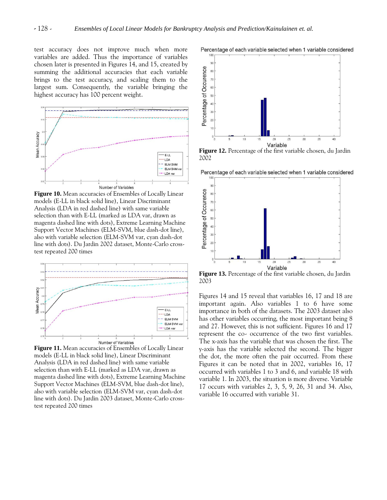test accuracy does not improve much when more variables are added. Thus the importance of variables chosen later is presented in Figures 14, and 15, created by summing the additional accuracies that each variable brings to the test accuracy, and scaling them to the largest sum. Consequently, the variable bringing the highest accuracy has 100 percent weight.



**Figure 10.** Mean accuracies of Ensembles of Locally Linear models (E-LL in black solid line), Linear Discriminant Analysis (LDA in red dashed line) with same variable selection than with E-LL (marked as LDA var, drawn as magenta dashed line with dots), Extreme Learning Machine Support Vector Machines (ELM-SVM, blue dash-dot line), also with variable selection (ELM-SVM var, cyan dash-dot line with dots). Du Jardin 2002 dataset, Monte-Carlo crosstest repeated 200 times



**Figure 11.** Mean accuracies of Ensembles of Locally Linear models (E-LL in black solid line), Linear Discriminant Analysis (LDA in red dashed line) with same variable selection than with E-LL (marked as LDA var, drawn as magenta dashed line with dots), Extreme Learning Machine Support Vector Machines (ELM-SVM, blue dash-dot line), also with variable selection (ELM-SVM var, cyan dash-dot line with dots). Du Jardin 2003 dataset, Monte-Carlo crosstest repeated 200 times



**Figure 12.** Percentage of the first variable chosen, du Jardin 2002

Percentage of each variable selected when 1 variable considered



**Figure 13.** Percentage of the first variable chosen, du Jardin 2003

Figures 14 and 15 reveal that variables 16, 17 and 18 are important again. Also variables 1 to 6 have some importance in both of the datasets. The 2003 dataset also has other variables occurring, the most important being 8 and 27. However, this is not sufficient. Figures 16 and 17 represent the co- occurrence of the two first variables. The x-axis has the variable that was chosen the first. The y-axis has the variable selected the second. The bigger the dot, the more often the pair occurred. From these Figures it can be noted that in 2002, variables 16, 17 occurred with variables 1 to 3 and 6, and variable 18 with variable 1. In 2003, the situation is more diverse. Variable 17 occurs with variables 2, 3, 5, 9, 26, 31 and 34. Also, variable 16 occurred with variable 31.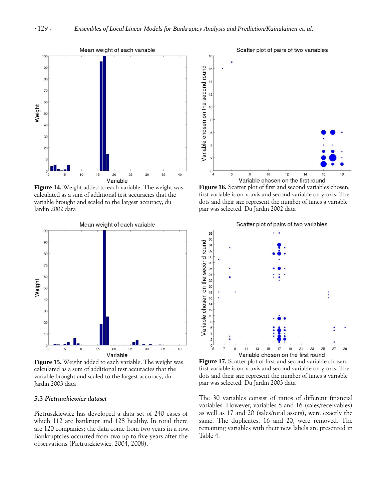

**Figure 14.** Weight added to each variable. The weight was calculated as a sum of additional test accuracies that the variable brought and scaled to the largest accuracy, du Jardin 2002 data



**Figure 15.** Weight added to each variable. The weight was calculated as a sum of additional test accuracies that the variable brought and scaled to the largest accuracy, du Jardin 2003 data

#### *5.3 Pietruszkiewicz dataset*

Pietruszkiewicz has developed a data set of 240 cases of which 112 are bankrupt and 128 healthy. In total there are 120 companies; the data come from two years in a row. Bankruptcies occurred from two up to five years after the observations (Pietruszkiewicz, 2004, 2008).



**Figure 16.** Scatter plot of first and second variables chosen, first variable is on x-axis and second variable on y-axis. The dots and their size represent the number of times a variable pair was selected. Du Jardin 2002 data



**Figure 17.** Scatter plot of first and second variable chosen, first variable is on x-axis and second variable on y-axis. The dots and their size represent the number of times a variable pair was selected. Du Jardin 2003 data

The 30 variables consist of ratios of different financial variables. However, variables 8 and 16 (sales/receivables) as well as 17 and 20 (sales/total assets), were exactly the same. The duplicates, 16 and 20, were removed. The remaining variables with their new labels are presented in Table 4.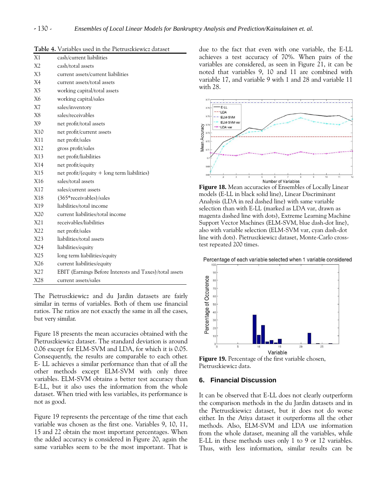| X1              | cash/current liabilities                                |
|-----------------|---------------------------------------------------------|
| X <sub>2</sub>  | cash/total assets                                       |
| X3              | current assets/current liabilities                      |
| X4              | current assets/total assets                             |
| X <sub>5</sub>  | working capital/total assets                            |
| X6              | working capital/sales                                   |
| X7              | sales/inventory                                         |
| X8              | sales/receivables                                       |
| X9              | net profit/total assets                                 |
| X10             | net profit/current assets                               |
| X11             | net profit/sales                                        |
| X12             | gross profit/sales                                      |
| X13             | net profit/liabilities                                  |
| X14             | net profit/equity                                       |
| X15             | net profit/(equity + long term liabilities)             |
| X <sub>16</sub> | sales/total assets                                      |
| X17             | sales/current assets                                    |
| X18             | (365*receivables)/sales                                 |
| X19             | liabilities/total income                                |
| X20             | current liabilities/total income                        |
| X21             | receivables/liabilities                                 |
| X22             | net profit/sales                                        |
| X23             | liabilities/total assets                                |
| X24             | liabilities/equity                                      |
| X25             | long term liabilities/equity                            |
| X26             | current liabilities/equity                              |
| X27             | EBIT (Earnings Before Interests and Taxes)/total assets |
| X28             | current assets/sales                                    |

**Table 4.** Variables used in the Pietruszkiewicz dataset

The Pietruszkiewicz and du Jardin datasets are fairly similar in terms of variables. Both of them use financial ratios. The ratios are not exactly the same in all the cases, but very similar.

Figure 18 presents the mean accuracies obtained with the Pietruszkiewicz dataset. The standard deviation is around 0.06 except for ELM-SVM and LDA, for which it is 0.05. Consequently, the results are comparable to each other. E- LL achieves a similar performance than that of all the other methods except ELM-SVM with only three variables. ELM-SVM obtains a better test accuracy than E-LL, but it also uses the information from the whole dataset. When tried with less variables, its performance is not as good.

Figure 19 represents the percentage of the time that each variable was chosen as the first one. Variables 9, 10, 11, 15 and 22 obtain the most important percentages. When the added accuracy is considered in Figure 20, again the same variables seem to be the most important. That is due to the fact that even with one variable, the E-LL achieves a test accuracy of 70%. When pairs of the variables are considered, as seen in Figure 21, it can be noted that variables 9, 10 and 11 are combined with variable 17, and variable 9 with 1 and 28 and variable 11 with 28.



**Figure 18.** Mean accuracies of Ensembles of Locally Linear models (E-LL in black solid line), Linear Discriminant Analysis (LDA in red dashed line) with same variable selection than with E-LL (marked as LDA var, drawn as magenta dashed line with dots), Extreme Learning Machine Support Vector Machines (ELM-SVM, blue dash-dot line), also with variable selection (ELM-SVM var, cyan dash-dot line with dots). Pietruszkiewicz dataset, Monte-Carlo crosstest repeated 200 times.

Percentage of each variable selected when 1 variable considered



**Figure 19.** Percentage of the first variable chosen, Pietruszkiewicz data.

## **6. Financial Discussion**

It can be observed that E-LL does not clearly outperform the comparison methods in the du Jardin datasets and in the Pietruszkiewicz dataset, but it does not do worse either. In the Atiya dataset it outperforms all the other methods. Also, ELM-SVM and LDA use information from the whole dataset, meaning all the variables, while E-LL in these methods uses only 1 to 9 or 12 variables. Thus, with less information, similar results can be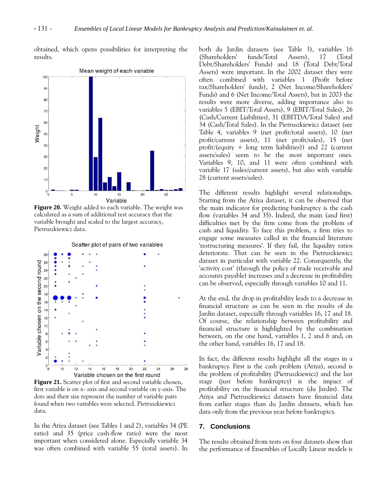obtained, which opens possibilities for interpreting the results.



**Figure 20.** Weight added to each variable. The weight was calculated as a sum of additional test accuracy that the variable brought and scaled to the largest accuracy, Pietruszkiewicz data.

Scatter plot of pairs of two variables



**Figure 21.** Scatter plot of first and second variable chosen, first variable is on x- axis and second variable on y-axis. The dots and their size represent the number of variable pairs found when two variables were selected. Pietruszkiewicz data.

In the Atiya dataset (see Tables 1 and 2), variables 34 (PE ratio) and 35 (price cash-flow ratio) were the most important when considered alone. Especially variable 34 was often combined with variable 55 (total assets). In both du Jardin datasets (see Table 3), variables 16 (Shareholders' funds/Total Assets), 17 (Total Debt/Shareholders' Funds) and 18 (Total Debt/Total Assets) were important. In the 2002 dataset they were often combined with variables 1 (Profit before tax/Shareholders' funds), 2 (Net Income/Shareholders' Funds) and 6 (Net Income/Total Assets), but in 2003 the results were more diverse, adding importance also to variables 5 (EBIT/Total Assets), 9 (EBIT/Total Sales), 26 (Cash/Current Liabilities), 31 (EBITDA/Total Sales) and 34 (Cash/Total Sales). In the Pietruszkiewicz dataset (see Table 4, variables 9 (net profit/total assets), 10 (net profit/current assets), 11 (net profit/sales), 15 (net profit/(equity  $+$  long term liabilities)) and 22 (current assets/sales) seem to be the most important ones. Variables 9, 10, and 11 were often combined with variable 17 (sales/current assets), but also with variable 28 (current assets/sales).

The different results highlight several relationships. Starting from the Atiya dataset, it can be observed that the main indicator for predicting bankruptcy is the cash flow (variables 34 and 35). Indeed, the main (and first) difficulties met by the firm come from the problem of cash and liquidity. To face this problem, a firm tries to engage some measures called in the financial literature 'restructuring measures'. If they fail, the liquidity ratios deteriorate. That can be seen in the Pietruszkiewicz dataset in particular with variable 22. Consequently, the 'activity cost' (through the policy of trade receivable and accounts payable) increases and a decrease in profitability can be observed, especially through variables 10 and 11.

At the end, the drop in profitability leads to a decrease in financial structure as can be seen in the results of du Jardin dataset, especially through variables 16, 17 and 18. Of course, the relationship between profitability and financial structure is highlighted by the combination between, on the one hand, variables 1, 2 and 6 and, on the other hand, variables 16, 17 and 18.

In fact, the different results highlight all the stages in a bankruptcy. First is the cash problem (Atiya), second is the problem of profitability (Pietruszkiewicz) and the last stage (just before bankruptcy) is the impact of profitability on the financial structure (du Jardin). The Atiya and Pietruszkiewicz datasets have financial data from earlier stages than du Jardin datasets, which has data only from the previous year before bankruptcy.

## **7. Conclusions**

The results obtained from tests on four datasets show that the performance of Ensembles of Locally Linear models is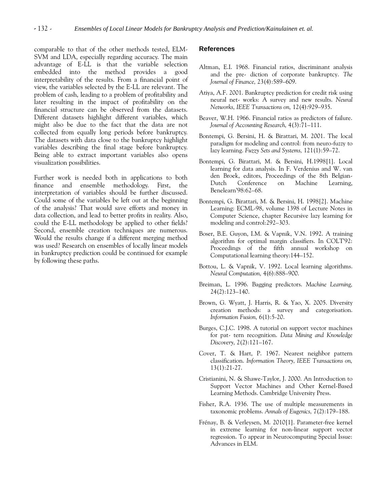comparable to that of the other methods tested, ELM-SVM and LDA, especially regarding accuracy. The main advantage of E-LL is that the variable selection embedded into the method provides a good interpretability of the results. From a financial point of view, the variables selected by the E-LL are relevant. The problem of cash, leading to a problem of profitability and later resulting in the impact of profitability on the financial structure can be observed from the datasets. Different datasets highlight different variables, which might also be due to the fact that the data are not collected from equally long periods before bankruptcy. The datasets with data close to the bankruptcy highlight variables describing the final stage before bankruptcy. Being able to extract important variables also opens visualization possibilities.

Further work is needed both in applications to both finance and ensemble methodology. First, the interpretation of variables should be further discussed. Could some of the variables be left out at the beginning of the analysis? That would save efforts and money in data collection, and lead to better profits in reality. Also, could the E-LL methodology be applied to other fields? Second, ensemble creation techniques are numerous. Would the results change if a different merging method was used? Research on ensembles of locally linear models in bankruptcy prediction could be continued for example by following these paths.

## **References**

- Altman, E.I. 1968. Financial ratios, discriminant analysis and the pre- diction of corporate bankruptcy. *The Journal of Finance,* 23(4):589–609.
- Atiya, A.F. 2001. Bankruptcy prediction for credit risk using neural net- works: A survey and new results. *Neural Networks, IEEE Transactions on,* 12(4):929–935.
- Beaver, W.H. 1966. Financial ratios as predictors of failure. *Journal of Accounting Research,* 4(3):71–111.
- Bontempi, G. Bersini, H. & Birattari, M. 2001. The local paradigm for modeling and control: from neuro-fuzzy to lazy learning. *Fuzzy Sets and Systems,* 121(1):59–72.
- Bontempi, G. Birattari, M. & Bersini, H.1998[1]. Local learning for data analysis. In F. Verdenius and W. van den Broek, editors, Proceedings of the 8th Belgian-Dutch Conference on Machine Learning, Benelearn'98:62–68.
- Bontempi, G. Birattari, M. & Bersini, H. 1998[2]. Machine Learning: ECML-98, volume 1398 of Lecture Notes in Computer Science, chapter Recursive lazy learning for modeling and control:292–303.
- Boser, B.E. Guyon, I.M. & Vapnik, V.N. 1992. A training algorithm for optimal margin classifiers. In COLT'92: Proceedings of the fifth annual workshop on Computational learning theory:144–152.
- Bottou, L. & Vapnik, V. 1992. Local learning algorithms. *Neural Computation,* 4(6):888–900.
- Breiman, L. 1996. Bagging predictors. *Machine Learning,* 24(2):123–140.
- Brown, G. Wyatt, J. Harris, R. & Yao, X. 2005. Diversity creation methods: a survey and categorisation. *Information Fusion,* 6(1):5-20.
- Burges, C.J.C. 1998. A tutorial on support vector machines for pat- tern recognition. *Data Mining and Knowledge Discovery,* 2(2):121–167.
- Cover, T. & Hart, P. 1967. Nearest neighbor pattern classification. *Information Theory, IEEE Transactions on,* 13(1):21-27.
- Cristianini, N. & Shawe-Taylor, J. 2000. An Introduction to Support Vector Machines and Other Kernel-Based Learning Methods. Cambridge University Press.
- Fisher, R.A. 1936. The use of multiple measurements in taxonomic problems. *Annals of Eugenics,* 7(2):179–188.
- Frénay, B. & Verleysen, M. 2010[1]. Parameter-free kernel in extreme learning for non-linear support vector regression. To appear in Neurocomputing Special Issue: Advances in ELM.